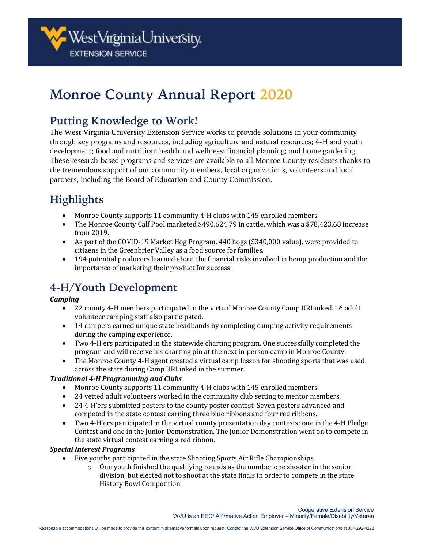

# **Monroe County Annual Report 2020**

## **Putting Knowledge to Work!**

The West Virginia University Extension Service works to provide solutions in your community through key programs and resources, including agriculture and natural resources; 4-H and youth development; food and nutrition; health and wellness; financial planning; and home gardening. These research-based programs and services are available to all Monroe County residents thanks to the tremendous support of our community members, local organizations, volunteers and local partners, including the Board of Education and County Commission.

## **Highlights**

- Monroe County supports 11 community 4-H clubs with 145 enrolled members.
- The Monroe County Calf Pool marketed \$490,624.79 in cattle, which was a \$78,423.68 increase from 2019.
- As part of the COVID-19 Market Hog Program, 440 hogs (\$340,000 value), were provided to citizens in the Greenbrier Valley as a food source for families.
- 194 potential producers learned about the financial risks involved in hemp production and the importance of marketing their product for success.

## **4-H/Youth Development**

#### *Camping*

- 22 county 4-H members participated in the virtual Monroe County Camp URLinked. 16 adult volunteer camping staff also participated.
- 14 campers earned unique state headbands by completing camping activity requirements during the camping experience.
- Two 4-H'ers participated in the statewide charting program. One successfully completed the program and will receive his charting pin at the next in-person camp in Monroe County.
- The Monroe County 4-H agent created a virtual camp lesson for shooting sports that was used across the state during Camp URLinked in the summer.

#### *Traditional 4-H Programming and Clubs*

- Monroe County supports 11 community 4-H clubs with 145 enrolled members.
- 24 vetted adult volunteers worked in the community club setting to mentor members.
- 24 4-H'ers submitted posters to the county poster contest. Seven posters advanced and competed in the state contest earning three blue ribbons and four red ribbons.
- Two 4-H'ers participated in the virtual county presentation day contests: one in the 4-H Pledge Contest and one in the Junior Demonstration. The Junior Demonstration went on to compete in the state virtual contest earning a red ribbon.

#### *Special Interest Programs*

- Five youths participated in the state Shooting Sports Air Rifle Championships.
	- $\circ$  One youth finished the qualifying rounds as the number one shooter in the senior division, but elected not to shoot at the state finals in order to compete in the state History Bowl Competition.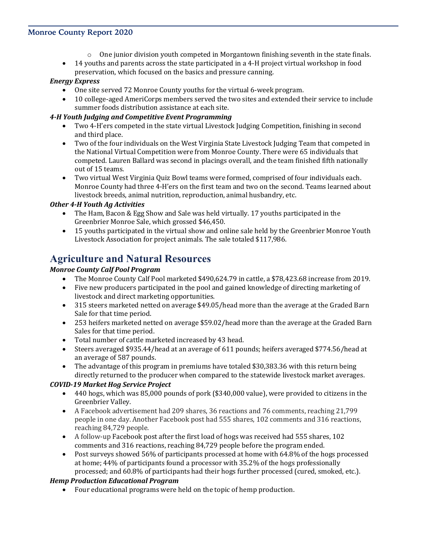#### **Monroe County Report 2020**

- $\circ$  One junior division youth competed in Morgantown finishing seventh in the state finals.
- 14 youths and parents across the state participated in a 4-H project virtual workshop in food preservation, which focused on the basics and pressure canning.

#### *Energy Express*

- One site served 72 Monroe County youths for the virtual 6-week program.
- 10 college-aged AmeriCorps members served the two sites and extended their service to include summer foods distribution assistance at each site.

#### *4-H Youth Judging and Competitive Event Programming*

- Two 4-H'ers competed in the state virtual Livestock Judging Competition, finishing in second and third place.
- Two of the four individuals on the West Virginia State Livestock Judging Team that competed in the National Virtual Competition were from Monroe County. There were 65 individuals that competed. Lauren Ballard was second in placings overall, and the team finished fifth nationally out of 15 teams.
- Two virtual West Virginia Quiz Bowl teams were formed, comprised of four individuals each. Monroe County had three 4-H'ers on the first team and two on the second. Teams learned about livestock breeds, animal nutrition, reproduction, animal husbandry, etc.

#### *Other 4-H Youth Ag Activities*

- The Ham, Bacon & Egg Show and Sale was held virtually. 17 youths participated in the Greenbrier Monroe Sale, which grossed \$46,450.
- 15 youths participated in the virtual show and online sale held by the Greenbrier Monroe Youth Livestock Association for project animals. The sale totaled \$117,986.

### **Agriculture and Natural Resources**

#### *Monroe County Calf Pool Program*

- The Monroe County Calf Pool marketed \$490,624.79 in cattle, a \$78,423.68 increase from 2019.
- Five new producers participated in the pool and gained knowledge of directing marketing of livestock and direct marketing opportunities.
- 315 steers marketed netted on average \$49.05/head more than the average at the Graded Barn Sale for that time period.
- 253 heifers marketed netted on average \$59.02/head more than the average at the Graded Barn Sales for that time period.
- Total number of cattle marketed increased by 43 head.
- Steers averaged \$935.44/head at an average of 611 pounds; heifers averaged \$774.56/head at an average of 587 pounds.
- The advantage of this program in premiums have totaled \$30,383.36 with this return being directly returned to the producer when compared to the statewide livestock market averages.

#### *COVID-19 Market Hog Service Project*

- 440 hogs, which was 85,000 pounds of pork (\$340,000 value), were provided to citizens in the Greenbrier Valley.
- A Facebook advertisement had 209 shares, 36 reactions and 76 comments, reaching 21,799 people in one day. Another Facebook post had 555 shares, 102 comments and 316 reactions, reaching 84,729 people.
- A follow-up Facebook post after the first load of hogs was received had 555 shares, 102 comments and 316 reactions, reaching 84,729 people before the program ended.
- Post surveys showed 56% of participants processed at home with 64.8% of the hogs processed at home; 44% of participants found a processor with 35.2% of the hogs professionally processed; and 60.8% of participants had their hogs further processed (cured, smoked, etc.).

#### *Hemp Production Educational Program*

• Four educational programs were held on the topic of hemp production.